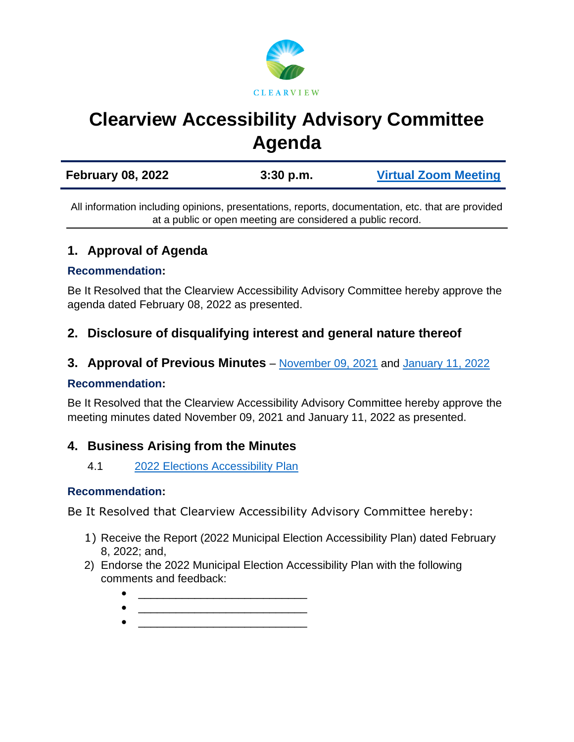

# **Clearview Accessibility Advisory Committee Agenda**

All information including opinions, presentations, reports, documentation, etc. that are provided at a public or open meeting are considered a public record.

# **1. Approval of Agenda**

#### **Recommendation:**

Be It Resolved that the Clearview Accessibility Advisory Committee hereby approve the agenda dated February 08, 2022 as presented.

# **2. Disclosure of disqualifying interest and general nature thereof**

**3. Approval of Previous Minutes** – [November 09, 2021](https://www.clearview.ca/sites/default/files/uploads/publications/2021-11-09_-_minutes.pdf) and [January 11, 2022](https://www.clearview.ca/sites/default/files/uploads/publications/2022-01-11_-_minutes.pdf)

#### **Recommendation:**

Be It Resolved that the Clearview Accessibility Advisory Committee hereby approve the meeting minutes dated November 09, 2021 and January 11, 2022 as presented.

## **4. Business Arising from the Minutes**

4.1 [2022 Elections Accessibility Plan](https://www.clearview.ca/sites/default/files/uploads/publications/2022_municipal_election_accessibility_plan_2021-11-18.pdf)

#### **Recommendation:**

Be It Resolved that Clearview Accessibility Advisory Committee hereby:

- 1) Receive the Report (2022 Municipal Election Accessibility Plan) dated February 8, 2022; and,
- 2) Endorse the 2022 Municipal Election Accessibility Plan with the following comments and feedback:
	- $\bullet$   $\qquad \qquad \qquad \qquad \qquad \qquad \qquad \qquad \qquad \qquad \qquad \qquad \qquad \qquad \qquad \qquad \qquad \qquad \qquad \qquad \qquad \qquad \qquad \qquad \qquad \qquad \qquad \qquad \qquad \qquad \qquad \qquad \qquad \qquad \qquad \qquad \qquad \qquad \qquad \qquad \qquad \qquad \qquad \q$
	- $\bullet$   $\qquad \qquad \qquad \qquad \qquad \qquad \qquad \qquad \qquad \qquad \qquad \qquad \qquad \qquad \qquad \qquad \qquad \qquad \qquad \qquad \qquad \qquad \qquad \qquad \qquad \qquad \qquad \qquad \qquad \qquad \qquad \qquad \qquad \qquad \qquad \qquad \qquad \qquad \qquad \qquad \qquad \qquad \qquad \q$  $\bullet$   $\qquad \qquad \qquad \qquad \qquad \qquad \qquad \qquad \qquad \qquad \qquad \qquad \qquad \qquad \qquad \qquad \qquad \qquad \qquad \qquad \qquad \qquad \qquad \qquad \qquad \qquad \qquad \qquad \qquad \qquad \qquad \qquad \qquad \qquad \qquad \qquad \qquad \qquad \qquad \qquad \qquad \qquad \qquad \q$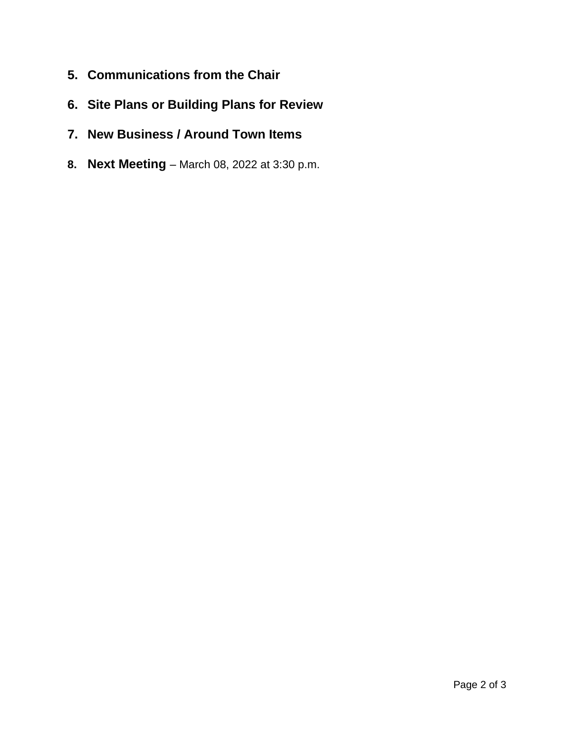- **5. Communications from the Chair**
- **6. Site Plans or Building Plans for Review**
- **7. New Business / Around Town Items**
- **8. Next Meeting**  March 08, 2022 at 3:30 p.m.